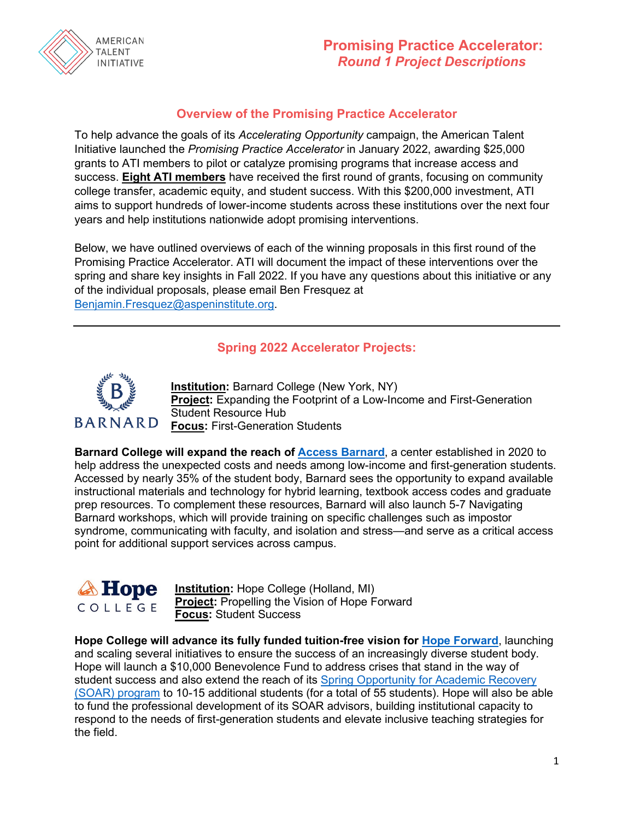

# **Promising Practice Accelerator:** *Round 1 Project Descriptions*

#### **Overview of the Promising Practice Accelerator**

To help advance the goals of its *Accelerating Opportunity* campaign, the American Talent Initiative launched the *Promising Practice Accelerator* in January 2022, awarding \$25,000 grants to ATI members to pilot or catalyze promising programs that increase access and success. **Eight ATI members** have received the first round of grants, focusing on community college transfer, academic equity, and student success. With this \$200,000 investment, ATI aims to support hundreds of lower-income students across these institutions over the next four years and help institutions nationwide adopt promising interventions.

Below, we have outlined overviews of each of the winning proposals in this first round of the Promising Practice Accelerator. ATI will document the impact of these interventions over the spring and share key insights in Fall 2022. If you have any questions about this initiative or any of the individual proposals, please email Ben Fresquez at [Benjamin.Fresquez@aspeninstitute.org.](mailto:Benjamin.Fresquez@aspeninstitute.org)

#### **Spring 2022 Accelerator Projects:**



**Institution:** Barnard College (New York, NY) **Project:** Expanding the Footprint of a Low-Income and First-Generation Student Resource Hub **Focus:** First-Generation Students

**Barnard College will expand the reach of [Access Barnard](https://barnard.edu/access-barnard)**, a center established in 2020 to help address the unexpected costs and needs among low-income and first-generation students. Accessed by nearly 35% of the student body, Barnard sees the opportunity to expand available instructional materials and technology for hybrid learning, textbook access codes and graduate prep resources. To complement these resources, Barnard will also launch 5-7 Navigating Barnard workshops, which will provide training on specific challenges such as impostor syndrome, communicating with faculty, and isolation and stress—and serve as a critical access point for additional support services across campus.



**Institution:** Hope College (Holland, MI) **Project:** Propelling the Vision of Hope Forward **Focus:** Student Success

**Hope College will advance its fully funded tuition-free vision for [Hope Forward](https://hope.edu/hope-forward/)**, launching and scaling several initiatives to ensure the success of an increasingly diverse student body. Hope will launch a \$10,000 Benevolence Fund to address crises that stand in the way of student success and also extend the reach of its [Spring Opportunity for Academic Recovery](https://hope.edu/offices/registrar/resources/soar.pdf)  [\(SOAR\) program](https://hope.edu/offices/registrar/resources/soar.pdf) to 10-15 additional students (for a total of 55 students). Hope will also be able to fund the professional development of its SOAR advisors, building institutional capacity to respond to the needs of first-generation students and elevate inclusive teaching strategies for the field.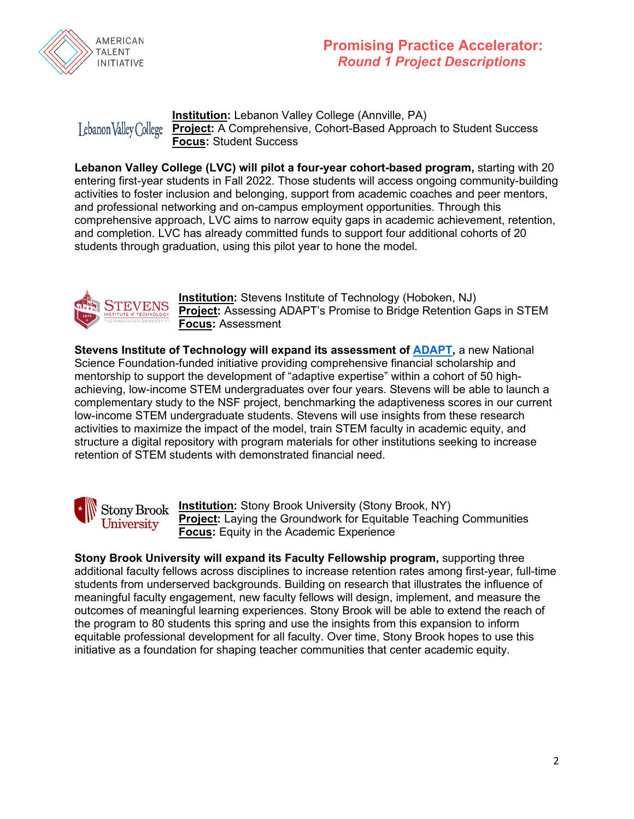

### **Promising Practice Accelerator:** *Round 1 Project Descriptions*

#### **Institution:** Lebanon Valley College (Annville, PA) Lebanon Valley College **Project:** A Comprehensive, Cohort-Based Approach to Student Success **Focus:** Student Success

Lebanon Valley College (LVC) will pilot a four-year cohort-based program, starting with 20 entering first-year students in Fall 2022. Those students will access ongoing community-building activities to foster inclusion and belonging, support from academic coaches and peer mentors, and professional networking and on-campus employment opportunities. Through this comprehensive approach, LVC aims to narrow equity gaps in academic achievement, retention, and completion. LVC has already committed funds to support four additional cohorts of 20 students through graduation, using this pilot year to hone the model.



**Institution:** Stevens Institute of Technology (Hoboken, NJ) **Project:** Assessing ADAPT's Promise to Bridge Retention Gaps in STEM **Focus:** Assessment

**Stevens Institute of Technology will expand its assessment of [ADAPT,](https://www.stevens.edu/news/cross-disciplinary-research-team-wins-15m-national-science-foundation-grant-support-low-income-stem)** a new National Science Foundation-funded initiative providing comprehensive financial scholarship and mentorship to support the development of "adaptive expertise" within a cohort of 50 highachieving, low-income STEM undergraduates over four years. Stevens will be able to launch a complementary study to the NSF project, benchmarking the adaptiveness scores in our current low-income STEM undergraduate students. Stevens will use insights from these research activities to maximize the impact of the model, train STEM faculty in academic equity, and structure a digital repository with program materials for other institutions seeking to increase retention of STEM students with demonstrated financial need.



**Institution:** Stony Brook University (Stony Brook, NY) **Project:** Laying the Groundwork for Equitable Teaching Communities **Focus:** Equity in the Academic Experience

**Stony Brook University will expand its Faculty Fellowship program,** supporting three additional faculty fellows across disciplines to increase retention rates among first-year, full-time students from underserved backgrounds. Building on research that illustrates the influence of meaningful faculty engagement, new faculty fellows will design, implement, and measure the outcomes of meaningful learning experiences. Stony Brook will be able to extend the reach of the program to 80 students this spring and use the insights from this expansion to inform equitable professional development for all faculty. Over time, Stony Brook hopes to use this initiative as a foundation for shaping teacher communities that center academic equity.